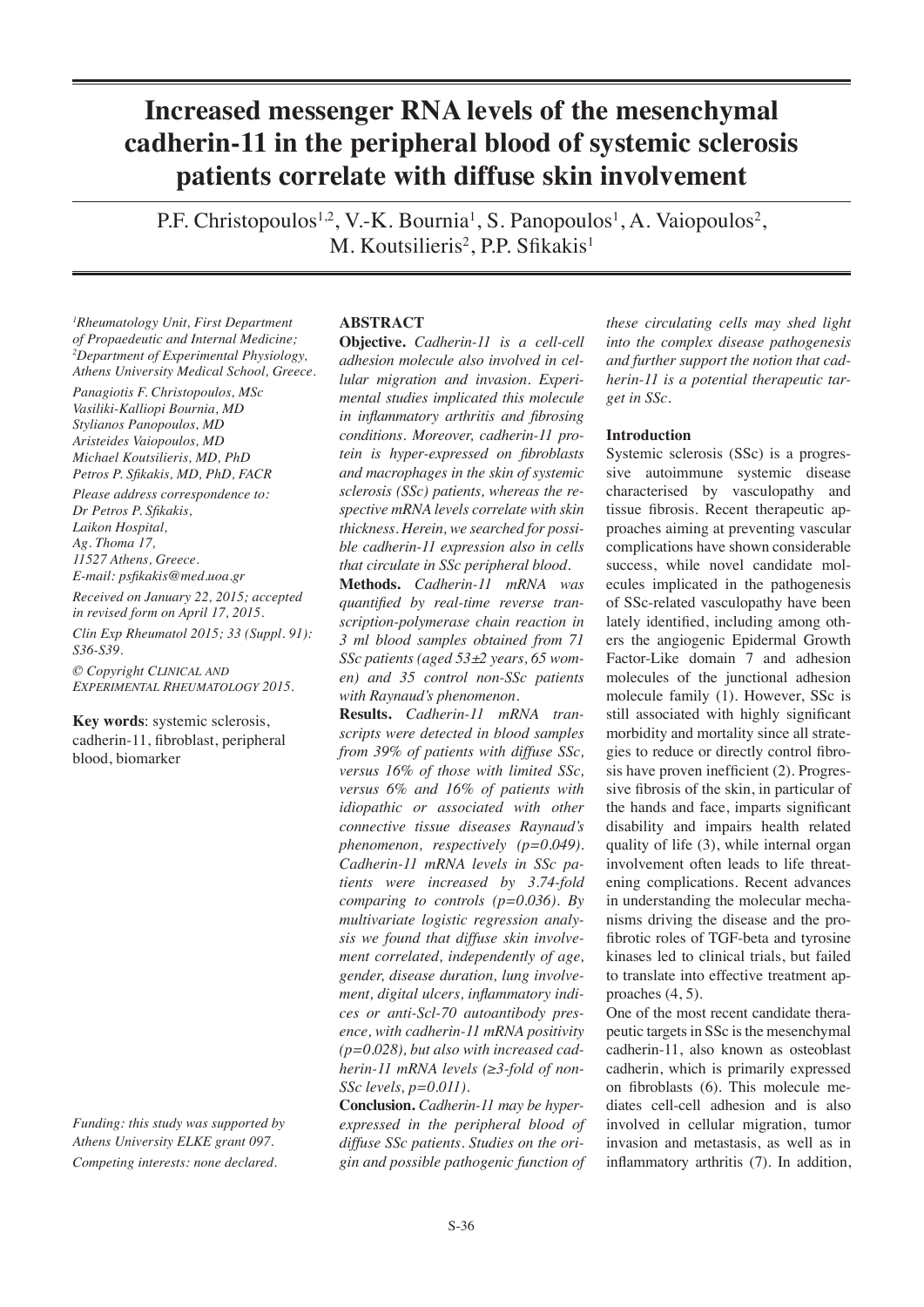# **Increased messenger RNA levels of the mesenchymal cadherin-11 in the peripheral blood of systemic sclerosis patients correlate with diffuse skin involvement**

P.F. Christopoulos<sup>1,2</sup>, V.-K. Bournia<sup>1</sup>, S. Panopoulos<sup>1</sup>, A. Vaiopoulos<sup>2</sup>, M. Koutsilieris<sup>2</sup>, P.P. Sfikakis<sup>1</sup>

*1 Rheumatology Unit, First Department of Propaedeutic and Internal Medicine; 2 Department of Experimental Physiology, Athens University Medical School, Greece.*

*Panagiotis F. Christopoulos, MSc Vasiliki-Kalliopi Bournia, MD Stylianos Panopoulos, MD Aristeides Vaiopoulos, MD Michael Koutsilieris, MD, PhD Petros P. Sfikakis, MD, PhD, FACR*

*Please address correspondence to: Dr Petros P. Sfikakis, Laikon Hospital, Ag. Thoma 17, 11527 Athens, Greece. E-mail: psfikakis@med.uoa.gr* 

*Received on January 22, 2015; accepted in revised form on April 17, 2015. Clin Exp Rheumatol 2015; 33 (Suppl. 91): S36-S39.*

*© Copyright Clinical and Experimental Rheumatology 2015.*

**Key words**: systemic sclerosis, cadherin-11, fibroblast, peripheral blood, biomarker

*Funding: this study was supported by Athens University ELKE grant 097. Competing interests: none declared.*

### **ABSTRACT**

**Objective.** *Cadherin-11 is a cell-cell adhesion molecule also involved in cellular migration and invasion. Experimental studies implicated this molecule in inflammatory arthritis and fibrosing conditions. Moreover, cadherin-11 protein is hyper-expressed on fibroblasts and macrophages in the skin of systemic sclerosis (SSc) patients, whereas the respective mRNA levels correlate with skin thickness. Herein, we searched for possible cadherin-11 expression also in cells that circulate in SSc peripheral blood.*

**Methods.** *Cadherin-11 mRNA was quantified by real-time reverse transcription-polymerase chain reaction in 3 ml blood samples obtained from 71 SSc patients (aged 53±2 years, 65 women) and 35 control non-SSc patients with Raynaud's phenomenon.* 

**Results.** *Cadherin-11 mRNA transcripts were detected in blood samples from 39% of patients with diffuse SSc, versus 16% of those with limited SSc, versus 6% and 16% of patients with idiopathic or associated with other connective tissue diseases Raynaud's phenomenon, respectively (p=0.049). Cadherin-11 mRNA levels in SSc patients were increased by 3.74-fold comparing to controls (p=0.036). By multivariate logistic regression analysis we found that diffuse skin involvement correlated, independently of age, gender, disease duration, lung involvement, digital ulcers, inflammatory indices or anti-Scl-70 autoantibody presence, with cadherin-11 mRNA positivity (p=0.028), but also with increased cadherin-11 mRNA levels (≥3-fold of non-SSc levels, p=0.011).* 

**Conclusion.** *Cadherin-11 may be hyperexpressed in the peripheral blood of diffuse SSc patients. Studies on the origin and possible pathogenic function of* 

*these circulating cells may shed light into the complex disease pathogenesis and further support the notion that cadherin-11 is a potential therapeutic target in SSc.*

#### **Introduction**

Systemic sclerosis (SSc) is a progressive autoimmune systemic disease characterised by vasculopathy and tissue fibrosis. Recent therapeutic approaches aiming at preventing vascular complications have shown considerable success, while novel candidate molecules implicated in the pathogenesis of SSc-related vasculopathy have been lately identified, including among others the angiogenic Epidermal Growth Factor-Like domain 7 and adhesion molecules of the junctional adhesion molecule family (1). However, SSc is still associated with highly significant morbidity and mortality since all strategies to reduce or directly control fibrosis have proven inefficient (2). Progressive fibrosis of the skin, in particular of the hands and face, imparts significant disability and impairs health related quality of life (3), while internal organ involvement often leads to life threatening complications. Recent advances in understanding the molecular mechanisms driving the disease and the profibrotic roles of TGF-beta and tyrosine kinases led to clinical trials, but failed to translate into effective treatment approaches (4, 5).

One of the most recent candidate therapeutic targets in SSc is the mesenchymal cadherin-11, also known as osteoblast cadherin, which is primarily expressed on fibroblasts (6). This molecule mediates cell-cell adhesion and is also involved in cellular migration, tumor invasion and metastasis, as well as in inflammatory arthritis (7). In addition,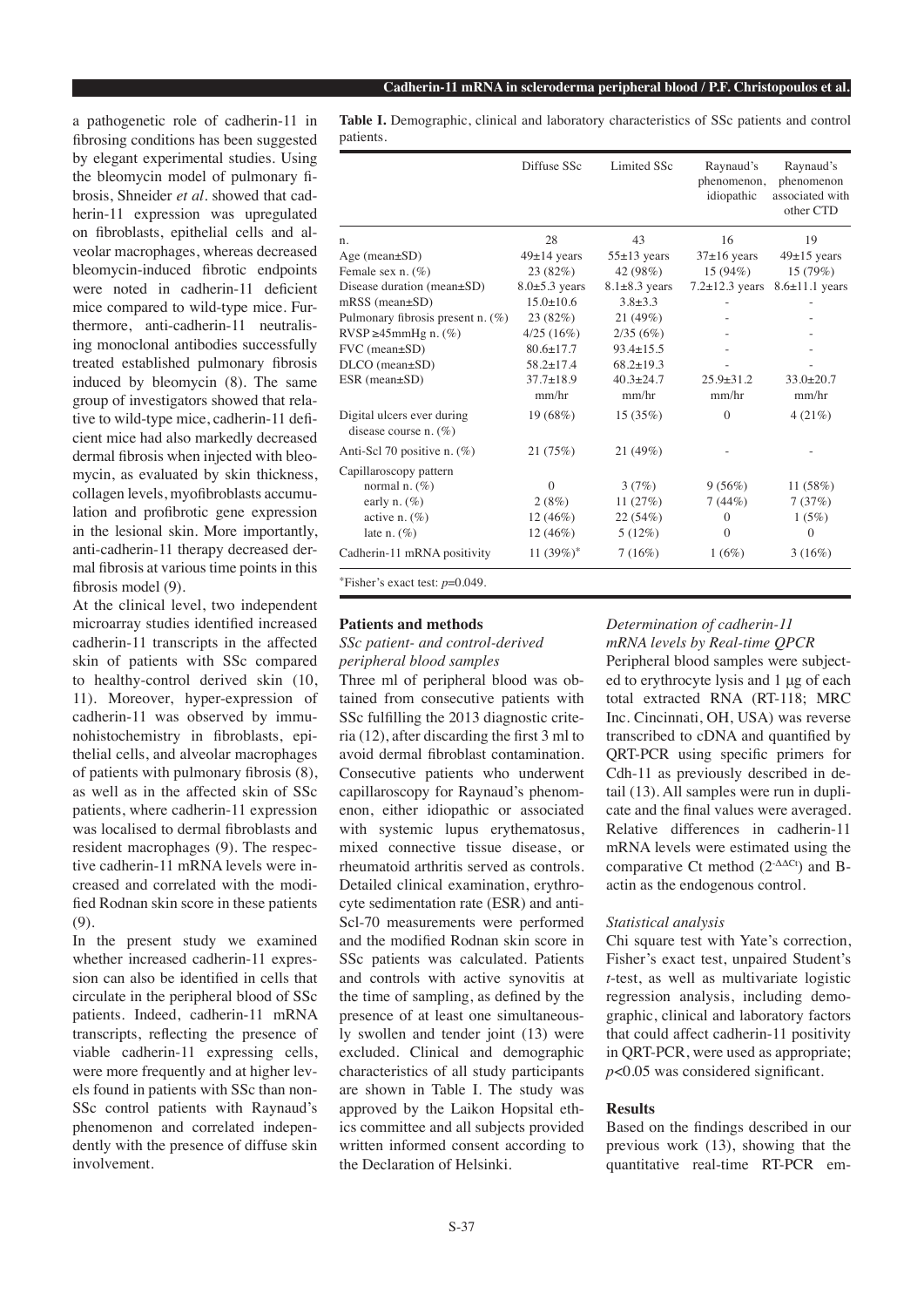a pathogenetic role of cadherin-11 in fibrosing conditions has been suggested by elegant experimental studies. Using the bleomycin model of pulmonary fibrosis, Shneider *et al.* showed that cadherin-11 expression was upregulated on fibroblasts, epithelial cells and alveolar macrophages, whereas decreased bleomycin-induced fibrotic endpoints were noted in cadherin-11 deficient mice compared to wild-type mice. Furthermore, anti-cadherin-11 neutralising monoclonal antibodies successfully treated established pulmonary fibrosis induced by bleomycin (8). The same group of investigators showed that relative to wild-type mice, cadherin-11 deficient mice had also markedly decreased dermal fibrosis when injected with bleomycin, as evaluated by skin thickness, collagen levels, myofibroblasts accumulation and profibrotic gene expression in the lesional skin. More importantly, anti-cadherin-11 therapy decreased dermal fibrosis at various time points in this fibrosis model (9).

At the clinical level, two independent microarray studies identified increased cadherin-11 transcripts in the affected skin of patients with SSc compared to healthy-control derived skin (10, 11). Moreover, hyper-expression of cadherin-11 was observed by immunohistochemistry in fibroblasts, epithelial cells, and alveolar macrophages of patients with pulmonary fibrosis (8), as well as in the affected skin of SSc patients, where cadherin-11 expression was localised to dermal fibroblasts and resident macrophages (9). The respective cadherin-11 mRNA levels were increased and correlated with the modified Rodnan skin score in these patients (9).

In the present study we examined whether increased cadherin-11 expression can also be identified in cells that circulate in the peripheral blood of SSc patients. Indeed, cadherin-11 mRNA transcripts, reflecting the presence of viable cadherin-11 expressing cells, were more frequently and at higher levels found in patients with SSc than non-SSc control patients with Raynaud's phenomenon and correlated independently with the presence of diffuse skin involvement.

**Table I.** Demographic, clinical and laboratory characteristics of SSc patients and control patients.

|                                                        | Diffuse SSc         | <b>Limited SSc</b>  | Raynaud's<br>phenomenon,<br>idiopathic | Raynaud's<br>phenomenon<br>associated with<br>other CTD |
|--------------------------------------------------------|---------------------|---------------------|----------------------------------------|---------------------------------------------------------|
| n.                                                     | 28                  | 43                  | 16                                     | 19                                                      |
| Age (mean $\pm$ SD)                                    | $49 \pm 14$ years   | $55 \pm 13$ years   | $37\pm16$ years                        | $49\pm15$ years                                         |
| Female sex $n.$ (%)                                    | 23(82%)             | 42 (98%)            | $15(94\%)$                             | 15(79%)                                                 |
| Disease duration (mean±SD)                             | $8.0 \pm 5.3$ years | $8.1 \pm 8.3$ years | $7.2 \pm 12.3$ years                   | $8.6 \pm 11.1$ years                                    |
| $mRSS$ (mean $\pm SD$ )                                | $15.0 \pm 10.6$     | $3.8 \pm 3.3$       |                                        |                                                         |
| Pulmonary fibrosis present n. (%)                      | 23 (82%)            | 21(49%)             |                                        |                                                         |
| $RVSP \geq 45mmHg n.$ (%)                              | 4/25(16%)           | 2/35(6%)            |                                        |                                                         |
| FVC (mean±SD)                                          | $80.6 + 17.7$       | $93.4 \pm 15.5$     |                                        |                                                         |
| DLCO (mean±SD)                                         | $58.2 \pm 17.4$     | $68.2 \pm 19.3$     |                                        |                                                         |
| $ESR$ (mean $\pm SD$ )                                 | $37.7 \pm 18.9$     | $40.3 \pm 24.7$     | $25.9 + 31.2$                          | $33.0 \pm 20.7$                                         |
|                                                        | mm/hr               | mm/hr               | mm/hr                                  | mm/hr                                                   |
| Digital ulcers ever during<br>disease course n. $(\%)$ | 19 (68%)            | 15(35%)             | $\mathbf{0}$                           | 4(21%)                                                  |
| Anti-Scl 70 positive n. (%)                            | 21 (75%)            | 21 (49%)            |                                        |                                                         |
| Capillaroscopy pattern                                 |                     |                     |                                        |                                                         |
| normal n. $(\%)$                                       | $\Omega$            | 3(7%)               | 9(56%)                                 | 11(58%)                                                 |
| early n. $(\%)$                                        | 2(8%)               | 11 $(27%)$          | 7(44%)                                 | 7(37%)                                                  |
| active n. $(\%)$                                       | $12(46\%)$          | 22(54%)             | $\mathbf{0}$                           | 1(5%)                                                   |
| late n. $(\%)$                                         | $12(46\%)$          | $5(12\%)$           | $\theta$                               | $\theta$                                                |
| Cadherin-11 mRNA positivity                            | 11 $(39%)^*$        | 7(16%)              | 1(6%)                                  | 3(16%)                                                  |
| *Fisher's exact test: $p=0.049$ .                      |                     |                     |                                        |                                                         |

# **Patients and methods**

# *SSc patient- and control-derived peripheral blood samples*

Three ml of peripheral blood was obtained from consecutive patients with SSc fulfilling the 2013 diagnostic criteria (12), after discarding the first 3 ml to avoid dermal fibroblast contamination. Consecutive patients who underwent capillaroscopy for Raynaud's phenomenon, either idiopathic or associated with systemic lupus erythematosus, mixed connective tissue disease, or rheumatoid arthritis served as controls. Detailed clinical examination, erythrocyte sedimentation rate (ESR) and anti-Scl-70 measurements were performed and the modified Rodnan skin score in SSc patients was calculated. Patients and controls with active synovitis at the time of sampling, as defined by the presence of at least one simultaneously swollen and tender joint (13) were excluded. Clinical and demographic characteristics of all study participants are shown in Table I. The study was approved by the Laikon Hopsital ethics committee and all subjects provided written informed consent according to the Declaration of Helsinki.

## *Determination of cadherin-11 mRNA levels by Real-time QPCR*

Peripheral blood samples were subjected to erythrocyte lysis and 1 μg of each total extracted RNA (RT-118; MRC Inc. Cincinnati, OH, USA) was reverse transcribed to cDNA and quantified by QRT-PCR using specific primers for Cdh-11 as previously described in detail (13). All samples were run in duplicate and the final values were averaged. Relative differences in cadherin-11 mRNA levels were estimated using the comparative Ct method  $(2-\Delta \Delta Ct)$  and Bactin as the endogenous control.

### *Statistical analysis*

Chi square test with Yate's correction, Fisher's exact test, unpaired Student's *t*-test, as well as multivariate logistic regression analysis, including demographic, clinical and laboratory factors that could affect cadherin-11 positivity in QRT-PCR, were used as appropriate; *p*<0.05 was considered significant.

#### **Results**

Based on the findings described in our previous work (13), showing that the quantitative real-time RT-PCR em-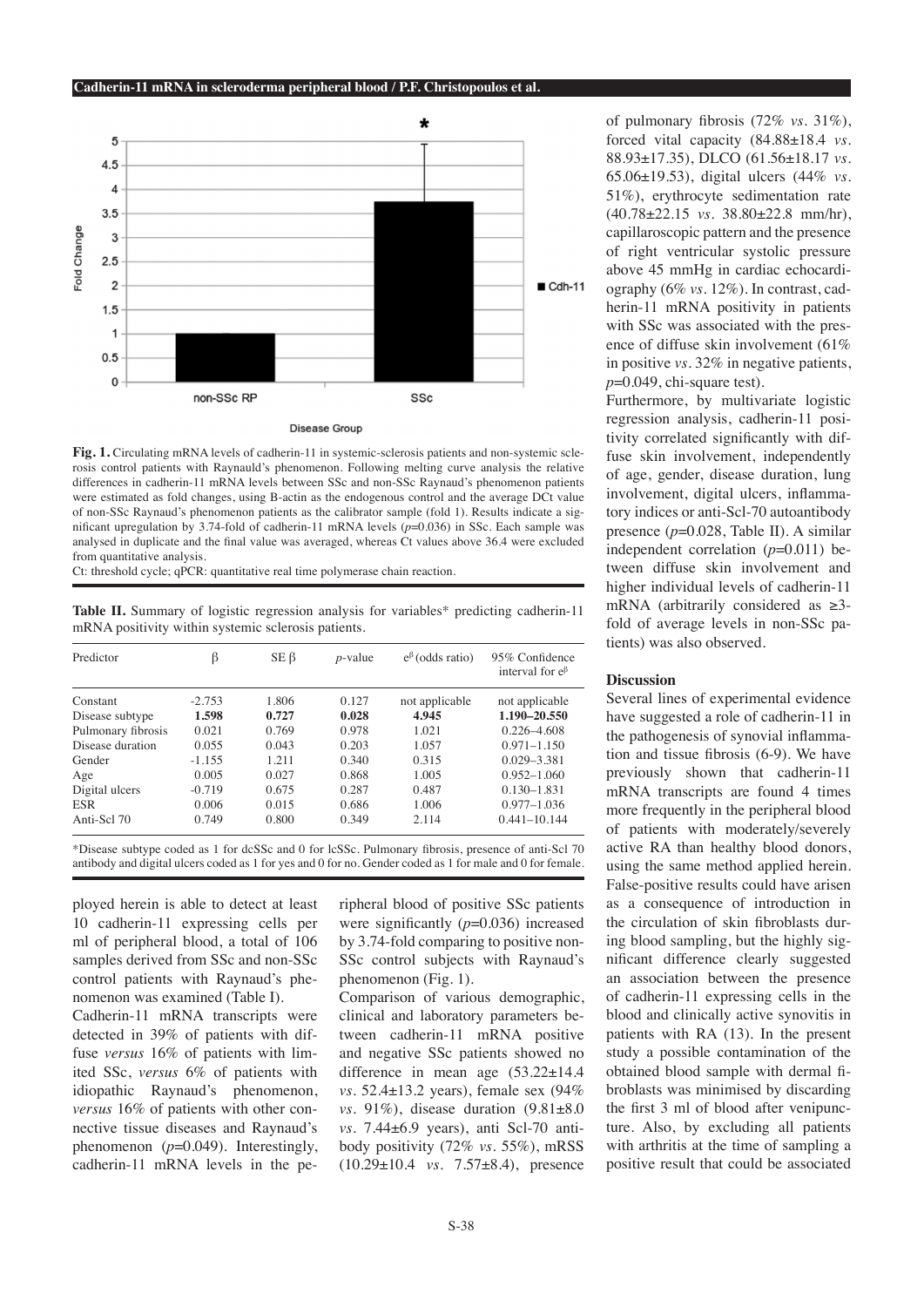

**Fig. 1.** Circulating mRNA levels of cadherin-11 in systemic-sclerosis patients and non-systemic sclerosis control patients with Raynauld's phenomenon. Following melting curve analysis the relative differences in cadherin-11 mRNA levels between SSc and non-SSc Raynaud's phenomenon patients were estimated as fold changes, using B-actin as the endogenous control and the average DCt value of non-SSc Raynaud's phenomenon patients as the calibrator sample (fold 1). Results indicate a significant upregulation by 3.74-fold of cadherin-11 mRNA levels (*p*=0.036) in SSc. Each sample was analysed in duplicate and the final value was averaged, whereas Ct values above 36.4 were excluded from quantitative analysis.

Ct: threshold cycle; qPCR: quantitative real time polymerase chain reaction.

**Table II.** Summary of logistic regression analysis for variables\* predicting cadherin-11 mRNA positivity within systemic sclerosis patients.

| Predictor          | ß        | $SE \beta$ | $p$ -value | $e^{\beta}$ (odds ratio) | 95% Confidence<br>interval for $e^{\beta}$ |
|--------------------|----------|------------|------------|--------------------------|--------------------------------------------|
| Constant           | $-2.753$ | 1.806      | 0.127      | not applicable           | not applicable                             |
| Disease subtype    | 1.598    | 0.727      | 0.028      | 4.945                    | 1.190-20.550                               |
| Pulmonary fibrosis | 0.021    | 0.769      | 0.978      | 1.021                    | $0.226 - 4.608$                            |
| Disease duration   | 0.055    | 0.043      | 0.203      | 1.057                    | $0.971 - 1.150$                            |
| Gender             | $-1.155$ | 1.211      | 0.340      | 0.315                    | $0.029 - 3.381$                            |
| Age                | 0.005    | 0.027      | 0.868      | 1.005                    | $0.952 - 1.060$                            |
| Digital ulcers     | $-0.719$ | 0.675      | 0.287      | 0.487                    | $0.130 - 1.831$                            |
| <b>ESR</b>         | 0.006    | 0.015      | 0.686      | 1.006                    | $0.977 - 1.036$                            |
| Anti-Scl 70        | 0.749    | 0.800      | 0.349      | 2.114                    | $0.441 - 10.144$                           |

\*Disease subtype coded as 1 for dcSSc and 0 for lcSSc. Pulmonary fibrosis, presence of anti-Scl 70 antibody and digital ulcers coded as 1 for yes and 0 for no. Gender coded as 1 for male and 0 for female.

ployed herein is able to detect at least 10 cadherin-11 expressing cells per ml of peripheral blood, a total of 106 samples derived from SSc and non-SSc control patients with Raynaud's phenomenon was examined (Table I).

Cadherin-11 mRNA transcripts were detected in 39% of patients with diffuse *versus* 16% of patients with limited SSc, *versus* 6% of patients with idiopathic Raynaud's phenomenon, *versus* 16% of patients with other connective tissue diseases and Raynaud's phenomenon (*p*=0.049). Interestingly, cadherin-11 mRNA levels in the peripheral blood of positive SSc patients were significantly ( $p=0.036$ ) increased by 3.74-fold comparing to positive non-SSc control subjects with Raynaud's phenomenon (Fig. 1).

Comparison of various demographic, clinical and laboratory parameters between cadherin-11 mRNA positive and negative SSc patients showed no difference in mean age (53.22±14.4 *vs.* 52.4±13.2 years), female sex (94% *vs.* 91%), disease duration (9.81±8.0 *vs.* 7.44±6.9 years), anti Scl-70 antibody positivity (72% *vs.* 55%), mRSS (10.29±10.4 *vs.* 7.57±8.4), presence of pulmonary fibrosis (72% *vs.* 31%), forced vital capacity (84.88±18.4 *vs.*  88.93±17.35), DLCO (61.56±18.17 *vs.*  65.06±19.53), digital ulcers (44% *vs.*  51%), erythrocyte sedimentation rate (40.78±22.15 *vs.* 38.80±22.8 mm/hr), capillaroscopic pattern and the presence of right ventricular systolic pressure above 45 mmHg in cardiac echocardiography (6% *vs.* 12%). In contrast, cadherin-11 mRNA positivity in patients with SSc was associated with the presence of diffuse skin involvement (61% in positive *vs.* 32% in negative patients, *p*=0.049, chi-square test).

Furthermore, by multivariate logistic regression analysis, cadherin-11 positivity correlated significantly with diffuse skin involvement, independently of age, gender, disease duration, lung involvement, digital ulcers, inflammatory indices or anti-Scl-70 autoantibody presence (*p*=0.028, Table II). A similar independent correlation (*p*=0.011) between diffuse skin involvement and higher individual levels of cadherin-11 mRNA (arbitrarily considered as  $\geq$ 3fold of average levels in non-SSc patients) was also observed.

# **Discussion**

Several lines of experimental evidence have suggested a role of cadherin-11 in the pathogenesis of synovial inflammation and tissue fibrosis (6-9). We have previously shown that cadherin-11 mRNA transcripts are found 4 times more frequently in the peripheral blood of patients with moderately/severely active RA than healthy blood donors, using the same method applied herein. False-positive results could have arisen as a consequence of introduction in the circulation of skin fibroblasts during blood sampling, but the highly significant difference clearly suggested an association between the presence of cadherin-11 expressing cells in the blood and clinically active synovitis in patients with RA (13). In the present study a possible contamination of the obtained blood sample with dermal fibroblasts was minimised by discarding the first 3 ml of blood after venipuncture. Also, by excluding all patients with arthritis at the time of sampling a positive result that could be associated